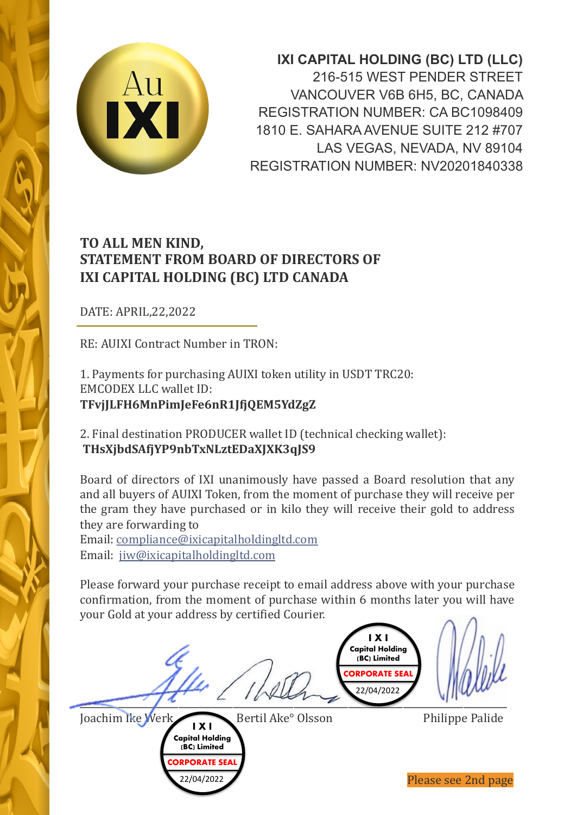

**IXI CAPITAL HOLDING (BC) LTD (LLC)** 216-515 WEST PENDER STREET VANCOUVER V6B 6H5, BC, CANADA REGISTRATION NUMBER: CA BC1098409 1810 E. SAHARA AVENUE SUITE 212 #707 LAS VEGAS, NEVADA, NV 89104 REGISTRATION NUMBER: NV20201840338

## **TO ALL MEN KIND, STATEMENT FROM BOARD OF DIRECTORS OF IXI CAPITAL HOLDING (BC) LTD CANADA**

DATE: APRIL,22,2022

RE: AUIXI Contract Number in TRON:

1. Payments for purchasing AUIXI token utility in USDT TRC20: EMCODEX LLC wallet ID: **TFvjJLFH6MnPimJeFe6nR1JfjQEM5YdZgZ** 

2. Final destination PRODUCER wallet ID (technical checking wallet): **THsXjbdSAfjYP9nbTxNLztEDaXJXK3qJS9** 

Board of directors of IXI unanimously have passed a Board resolution that any and all buyers of AUIXI Token, from the moment of purchase they will receive per the gram they have purchased or in kilo they will receive their gold to address they are [forwarding](mailto:compliance@ixicapitalholdingltd.com) to

Email: [compliance@ixicapitalholding](mailto:jiw@ixicapitalholdingltd.com)ltd.com Email: jiw@ixicapitalholdingltd.com

Please forward your purchase receipt to email address above with your purchase confirmation, from the moment of purchase within 6 months later you will have your Gold at your address by certified Courier.



Joachim Ike Werk Bertil Ake° Olsson Philippe Palide **I X I Capital Holding**

> **(BC) Limited CORPORATE SEA** 22/04/2022